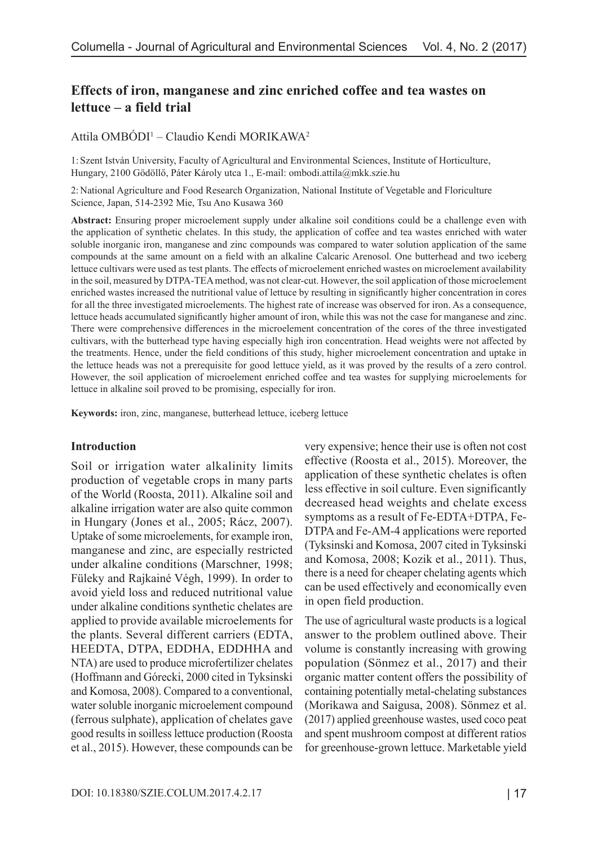# **Effects of iron, manganese and zinc enriched coffee and tea wastes on lettuce – a field trial**

## Attila OMBÓDI<sup>1</sup> – Claudio Kendi MORIKAWA<sup>2</sup>

1: Szent István University, Faculty of Agricultural and Environmental Sciences, Institute of Horticulture, Hungary, 2100 Gödöllő, Páter Károly utca 1., E-mail: ombodi.attila@mkk.szie.hu

2: National Agriculture and Food Research Organization, National Institute of Vegetable and Floriculture Science, Japan, 514-2392 Mie, Tsu Ano Kusawa 360

**Abstract:** Ensuring proper microelement supply under alkaline soil conditions could be a challenge even with the application of synthetic chelates. In this study, the application of coffee and tea wastes enriched with water soluble inorganic iron, manganese and zinc compounds was compared to water solution application of the same compounds at the same amount on a field with an alkaline Calcaric Arenosol. One butterhead and two iceberg lettuce cultivars were used as test plants. The effects of microelement enriched wastes on microelement availability in the soil, measured by DTPA-TEA method, was not clear-cut. However, the soil application of those microelement enriched wastes increased the nutritional value of lettuce by resulting in significantly higher concentration in cores for all the three investigated microelements. The highest rate of increase was observed for iron. As a consequence, lettuce heads accumulated significantly higher amount of iron, while this was not the case for manganese and zinc. There were comprehensive differences in the microelement concentration of the cores of the three investigated cultivars, with the butterhead type having especially high iron concentration. Head weights were not affected by the treatments. Hence, under the field conditions of this study, higher microelement concentration and uptake in the lettuce heads was not a prerequisite for good lettuce yield, as it was proved by the results of a zero control. However, the soil application of microelement enriched coffee and tea wastes for supplying microelements for lettuce in alkaline soil proved to be promising, especially for iron.

**Keywords:** iron, zinc, manganese, butterhead lettuce, iceberg lettuce

#### **Introduction**

Soil or irrigation water alkalinity limits production of vegetable crops in many parts of the World (Roosta, 2011). Alkaline soil and alkaline irrigation water are also quite common in Hungary (Jones et al., 2005; Rácz, 2007). Uptake of some microelements, for example iron, manganese and zinc, are especially restricted under alkaline conditions (Marschner, 1998; Füleky and Rajkainé Végh, 1999). In order to avoid yield loss and reduced nutritional value under alkaline conditions synthetic chelates are applied to provide available microelements for the plants. Several different carriers (EDTA, HEEDTA, DTPA, EDDHA, EDDHHA and NTA) are used to produce microfertilizer chelates (Hoffmann and Górecki, 2000 cited in Tyksinski and Komosa, 2008). Compared to a conventional, water soluble inorganic microelement compound (ferrous sulphate), application of chelates gave good results in soilless lettuce production (Roosta et al., 2015). However, these compounds can be

very expensive; hence their use is often not cost effective (Roosta et al., 2015). Moreover, the application of these synthetic chelates is often less effective in soil culture. Even significantly decreased head weights and chelate excess symptoms as a result of Fe-EDTA+DTPA, Fe-DTPA and Fe-AM-4 applications were reported (Tyksinski and Komosa, 2007 cited in Tyksinski and Komosa, 2008; Kozik et al., 2011). Thus, there is a need for cheaper chelating agents which can be used effectively and economically even in open field production.

The use of agricultural waste products is a logical answer to the problem outlined above. Their volume is constantly increasing with growing population (Sönmez et al., 2017) and their organic matter content offers the possibility of containing potentially metal-chelating substances (Morikawa and Saigusa, 2008). Sönmez et al. (2017) applied greenhouse wastes, used coco peat and spent mushroom compost at different ratios for greenhouse-grown lettuce. Marketable yield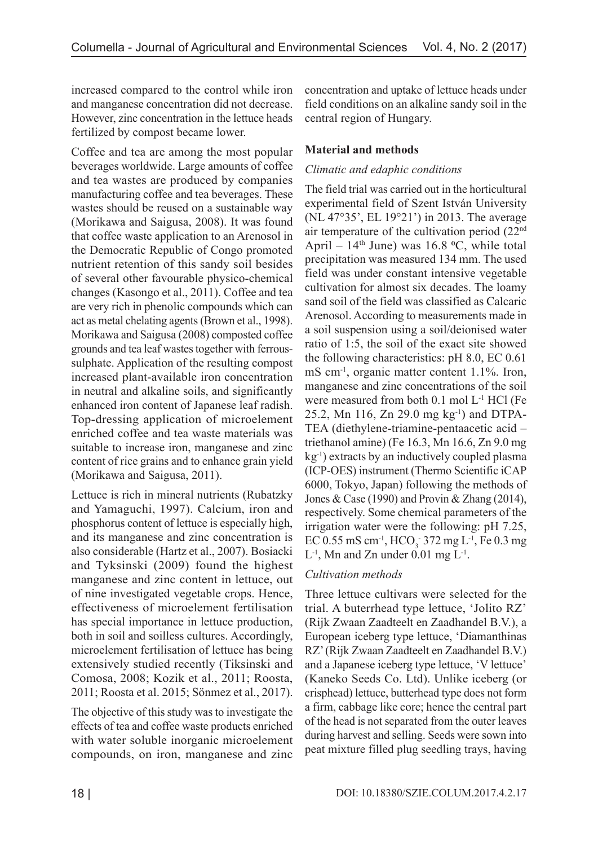increased compared to the control while iron and manganese concentration did not decrease. However, zinc concentration in the lettuce heads fertilized by compost became lower.

Coffee and tea are among the most popular beverages worldwide. Large amounts of coffee and tea wastes are produced by companies manufacturing coffee and tea beverages. These wastes should be reused on a sustainable way (Morikawa and Saigusa, 2008). It was found that coffee waste application to an Arenosol in the Democratic Republic of Congo promoted nutrient retention of this sandy soil besides of several other favourable physico-chemical changes (Kasongo et al., 2011). Coffee and tea are very rich in phenolic compounds which can act as metal chelating agents (Brown et al., 1998). Morikawa and Saigusa (2008) composted coffee grounds and tea leaf wastes together with ferroussulphate. Application of the resulting compost increased plant-available iron concentration in neutral and alkaline soils, and significantly enhanced iron content of Japanese leaf radish. Top-dressing application of microelement enriched coffee and tea waste materials was suitable to increase iron, manganese and zinc content of rice grains and to enhance grain yield (Morikawa and Saigusa, 2011).

Lettuce is rich in mineral nutrients (Rubatzky and Yamaguchi, 1997). Calcium, iron and phosphorus content of lettuce is especially high, and its manganese and zinc concentration is also considerable (Hartz et al., 2007). Bosiacki and Tyksinski (2009) found the highest manganese and zinc content in lettuce, out of nine investigated vegetable crops. Hence, effectiveness of microelement fertilisation has special importance in lettuce production, both in soil and soilless cultures. Accordingly, microelement fertilisation of lettuce has being extensively studied recently (Tiksinski and Comosa, 2008; Kozik et al., 2011; Roosta, 2011; Roosta et al. 2015; Sönmez et al., 2017).

The objective of this study was to investigate the effects of tea and coffee waste products enriched with water soluble inorganic microelement compounds, on iron, manganese and zinc

concentration and uptake of lettuce heads under field conditions on an alkaline sandy soil in the central region of Hungary.

## **Material and methods**

## *Climatic and edaphic conditions*

The field trial was carried out in the horticultural experimental field of Szent István University (NL 47°35', EL 19°21') in 2013. The average air temperature of the cultivation period (22nd April –  $14<sup>th</sup>$  June) was 16.8 °C, while total precipitation was measured 134 mm. The used field was under constant intensive vegetable cultivation for almost six decades. The loamy sand soil of the field was classified as Calcaric Arenosol. According to measurements made in a soil suspension using a soil/deionised water ratio of 1:5, the soil of the exact site showed the following characteristics: pH 8.0, EC 0.61 mS cm<sup>-1</sup>, organic matter content 1.1%. Iron, manganese and zinc concentrations of the soil were measured from both 0.1 mol L<sup>-1</sup> HCl (Fe 25.2, Mn 116, Zn 29.0 mg  $kg^{-1}$  and DTPA-TEA (diethylene-triamine-pentaacetic acid – triethanol amine) (Fe 16.3, Mn 16.6, Zn 9.0 mg  $kg^{-1}$ ) extracts by an inductively coupled plasma (ICP-OES) instrument (Thermo Scientific iCAP 6000, Tokyo, Japan) following the methods of Jones & Case (1990) and Provin & Zhang (2014), respectively. Some chemical parameters of the irrigation water were the following: pH 7.25, EC 0.55 mS cm<sup>-1</sup>, HCO<sub>3</sub> 372 mg L<sup>-1</sup>, Fe 0.3 mg  $L^{-1}$ , Mn and Zn under 0.01 mg  $L^{-1}$ .

### *Cultivation methods*

Three lettuce cultivars were selected for the trial. A buterrhead type lettuce, 'Jolito RZ' (Rijk Zwaan Zaadteelt en Zaadhandel B.V.), a European iceberg type lettuce, 'Diamanthinas RZ' (Rijk Zwaan Zaadteelt en Zaadhandel B.V.) and a Japanese iceberg type lettuce, 'V lettuce' (Kaneko Seeds Co. Ltd). Unlike iceberg (or crisphead) lettuce, butterhead type does not form a firm, cabbage like core; hence the central part of the head is not separated from the outer leaves during harvest and selling. Seeds were sown into peat mixture filled plug seedling trays, having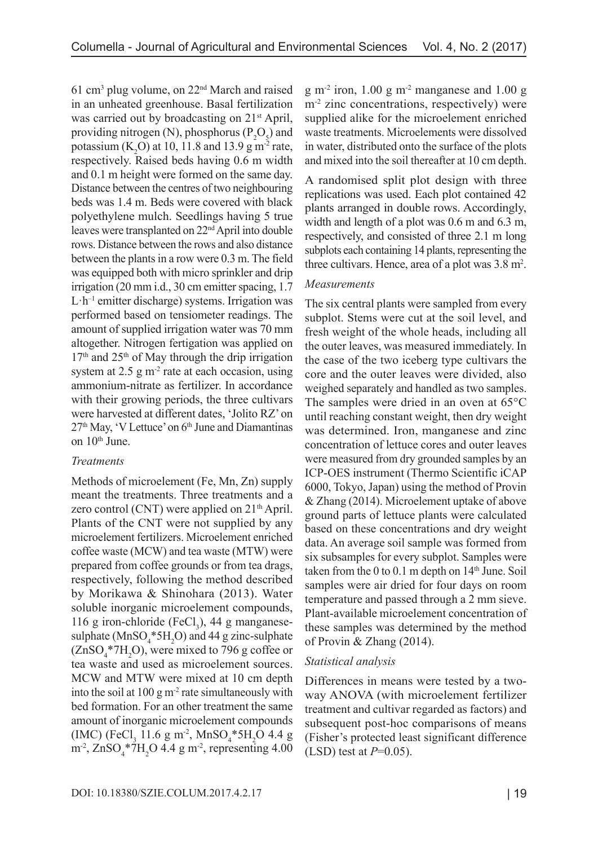61 cm3 plug volume, on 22nd March and raised in an unheated greenhouse. Basal fertilization was carried out by broadcasting on 21<sup>st</sup> April, providing nitrogen (N), phosphorus ( $P_2O_5$ ) and potassium  $(K_2O)$  at 10, 11.8 and 13.9 g m<sup>-2</sup> rate, respectively. Raised beds having 0.6 m width and 0.1 m height were formed on the same day. Distance between the centres of two neighbouring beds was 1.4 m. Beds were covered with black polyethylene mulch. Seedlings having 5 true leaves were transplanted on 22nd April into double rows. Distance between the rows and also distance between the plants in a row were 0.3 m. The field was equipped both with micro sprinkler and drip irrigation (20 mm i.d., 30 cm emitter spacing, 1.7  $L \cdot h^{-1}$  emitter discharge) systems. Irrigation was performed based on tensiometer readings. The amount of supplied irrigation water was 70 mm altogether. Nitrogen fertigation was applied on  $17<sup>th</sup>$  and  $25<sup>th</sup>$  of May through the drip irrigation system at  $2.5 \text{ g m}^2$  rate at each occasion, using ammonium-nitrate as fertilizer. In accordance with their growing periods, the three cultivars were harvested at different dates, 'Jolito RZ' on 27<sup>th</sup> May, 'V Lettuce' on 6<sup>th</sup> June and Diamantinas on  $10<sup>th</sup>$  June.

#### *Treatments*

Methods of microelement (Fe, Mn, Zn) supply meant the treatments. Three treatments and a zero control (CNT) were applied on  $21<sup>th</sup>$  April. Plants of the CNT were not supplied by any microelement fertilizers. Microelement enriched coffee waste (MCW) and tea waste (MTW) were prepared from coffee grounds or from tea drags, respectively, following the method described by Morikawa & Shinohara (2013). Water soluble inorganic microelement compounds, 116 g iron-chloride (FeCl<sub>3</sub>), 44 g manganesesulphate  $(MnSO_4*5H_2O)$  and 44 g zinc-sulphate  $(ZnSO_4^*7H_2O)$ , were mixed to 796 g coffee or tea waste and used as microelement sources. MCW and MTW were mixed at 10 cm depth into the soil at  $100 \text{ g m}^2$  rate simultaneously with bed formation. For an other treatment the same amount of inorganic microelement compounds  $(MC)$  (FeCl<sub>3</sub> 11.6 g m<sup>-2</sup>, MnSO<sub>4</sub>\*5H<sub>2</sub>O 4.4 g  $\text{m}^2$ , ZnSO<sub>4</sub>\*7H<sub>2</sub>O 4.4 g m<sup>-2</sup>, representing 4.00  $g m<sup>-2</sup>$  iron, 1.00  $g m<sup>-2</sup>$  manganese and 1.00  $g$ m<sup>-2</sup> zinc concentrations, respectively) were supplied alike for the microelement enriched waste treatments. Microelements were dissolved in water, distributed onto the surface of the plots and mixed into the soil thereafter at 10 cm depth.

A randomised split plot design with three replications was used. Each plot contained 42 plants arranged in double rows. Accordingly, width and length of a plot was 0.6 m and 6.3 m, respectively, and consisted of three 2.1 m long subplots each containing 14 plants, representing the three cultivars. Hence, area of a plot was 3.8 m<sup>2</sup>.

#### *Measurements*

The six central plants were sampled from every subplot. Stems were cut at the soil level, and fresh weight of the whole heads, including all the outer leaves, was measured immediately. In the case of the two iceberg type cultivars the core and the outer leaves were divided, also weighed separately and handled as two samples. The samples were dried in an oven at 65°C until reaching constant weight, then dry weight was determined. Iron, manganese and zinc concentration of lettuce cores and outer leaves were measured from dry grounded samples by an ICP-OES instrument (Thermo Scientific iCAP 6000, Tokyo, Japan) using the method of Provin & Zhang (2014). Microelement uptake of above ground parts of lettuce plants were calculated based on these concentrations and dry weight data. An average soil sample was formed from six subsamples for every subplot. Samples were taken from the 0 to 0.1 m depth on 14<sup>th</sup> June. Soil samples were air dried for four days on room temperature and passed through a 2 mm sieve. Plant-available microelement concentration of these samples was determined by the method of Provin & Zhang (2014).

#### *Statistical analysis*

Differences in means were tested by a twoway ANOVA (with microelement fertilizer treatment and cultivar regarded as factors) and subsequent post-hoc comparisons of means (Fisher's protected least significant difference (LSD) test at *P*=0.05).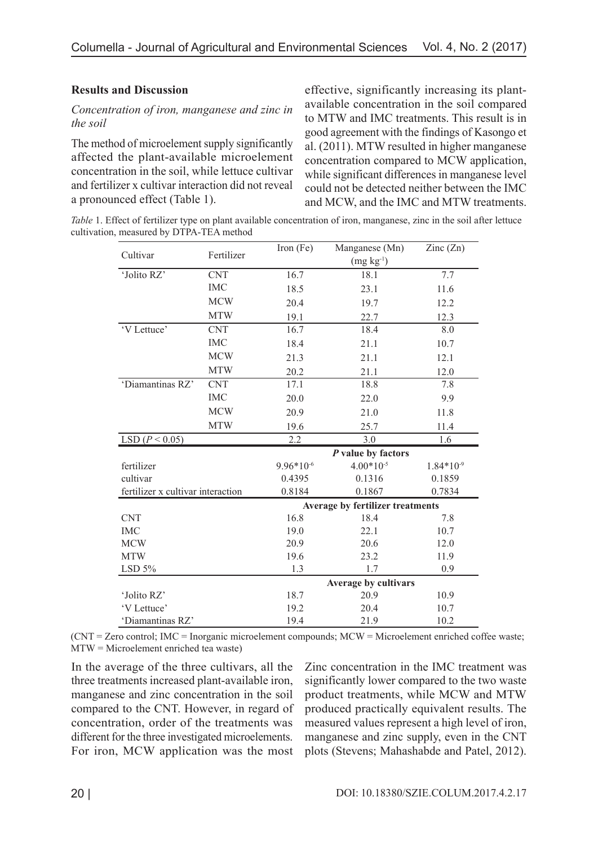## **Results and Discussion**

### *Concentration of iron, manganese and zinc in the soil*

The method of microelement supply significantly affected the plant-available microelement concentration in the soil, while lettuce cultivar and fertilizer x cultivar interaction did not reveal a pronounced effect (Table 1).

effective, significantly increasing its plantavailable concentration in the soil compared to MTW and IMC treatments. This result is in good agreement with the findings of Kasongo et al. (2011). MTW resulted in higher manganese concentration compared to MCW application, while significant differences in manganese level could not be detected neither between the IMC and MCW, and the IMC and MTW treatments.

*Table 1*. Effect of fertilizer type on plant available concentration of iron, manganese, zinc in the soil after lettuce cultivation, measured by DTPA-TEA method

| Cultivar                          | Fertilizer | Iron $(Fe)$    | Manganese (Mn)                   | Zinc $(Zn)$    |
|-----------------------------------|------------|----------------|----------------------------------|----------------|
|                                   |            |                | $(mg kg-1)$                      |                |
| 'Jolito RZ'                       | <b>CNT</b> | 16.7           | 18.1                             | 7.7            |
|                                   | <b>IMC</b> | 18.5           | 23.1                             | 11.6           |
|                                   | <b>MCW</b> | 20.4           | 19.7                             | 12.2           |
|                                   | <b>MTW</b> | 19.1           | 22.7                             | 12.3           |
| 'V Lettuce'                       | <b>CNT</b> | 16.7           | 18.4                             | 8.0            |
|                                   | <b>IMC</b> | 18.4           | 21.1                             | 10.7           |
|                                   | <b>MCW</b> | 21.3           | 21.1                             | 12.1           |
|                                   | <b>MTW</b> | 20.2           | 21.1                             | 12.0           |
| 'Diamantinas RZ'                  | <b>CNT</b> | 17.1           | 18.8                             | 7.8            |
|                                   | <b>IMC</b> | 20.0           | 22.0                             | 9.9            |
|                                   | <b>MCW</b> | 20.9           | 21.0                             | 11.8           |
|                                   | <b>MTW</b> | 19.6           | 25.7                             | 11.4           |
| LSD ( $P < 0.05$ )                |            | 2.2            | 3.0                              | 1.6            |
|                                   |            |                | $P$ value by factors             |                |
| fertilizer                        |            | $9.96*10^{-6}$ | $4.00*10^{-5}$                   | $1.84*10^{-9}$ |
| cultivar                          |            | 0.4395         | 0.1316                           | 0.1859         |
| fertilizer x cultivar interaction |            | 0.8184         | 0.1867                           | 0.7834         |
|                                   |            |                | Average by fertilizer treatments |                |
| <b>CNT</b>                        |            | 16.8           | 18.4                             | 7.8            |
| <b>IMC</b>                        |            | 19.0           | 22.1                             | 10.7           |
| <b>MCW</b>                        |            | 20.9           | 20.6                             | 12.0           |
| <b>MTW</b>                        |            | 19.6           | 23.2                             | 11.9           |
| LSD $5%$                          |            | 1.3            | 1.7                              | 0.9            |
|                                   |            |                | <b>Average by cultivars</b>      |                |
| 'Jolito RZ'                       |            | 18.7           | 20.9                             | 10.9           |
| 'V Lettuce'                       |            | 19.2           | 20.4                             | 10.7           |
| 'Diamantinas RZ'                  |            | 19.4           | 21.9                             | 10.2           |

(CNT = Zero control; IMC = Inorganic microelement compounds; MCW = Microelement enriched coffee waste; MTW = Microelement enriched tea waste)

In the average of the three cultivars, all the three treatments increased plant-available iron, manganese and zinc concentration in the soil compared to the CNT. However, in regard of concentration, order of the treatments was different for the three investigated microelements. For iron, MCW application was the most

Zinc concentration in the IMC treatment was significantly lower compared to the two waste product treatments, while MCW and MTW produced practically equivalent results. The measured values represent a high level of iron, manganese and zinc supply, even in the CNT plots (Stevens; Mahashabde and Patel, 2012).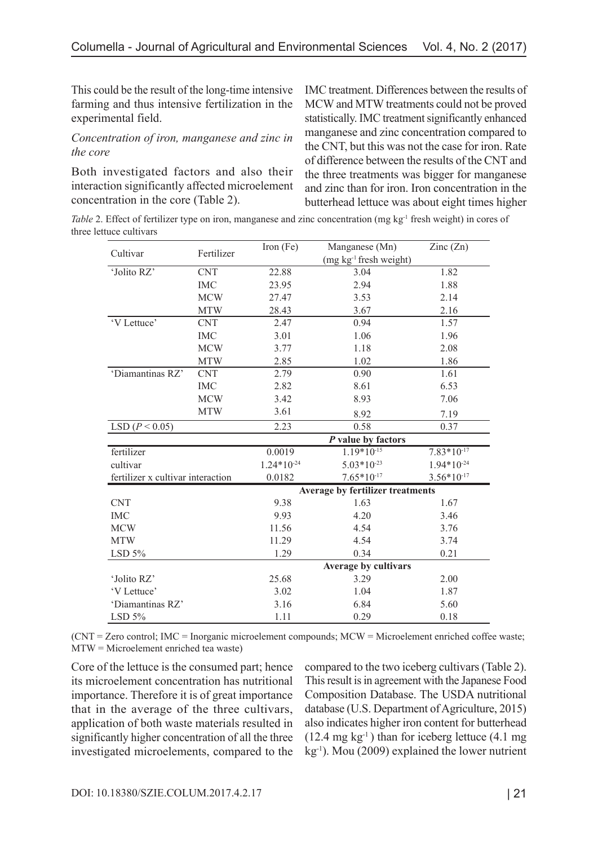This could be the result of the long-time intensive farming and thus intensive fertilization in the experimental field.

#### *Concentration of iron, manganese and zinc in the core*

Both investigated factors and also their interaction significantly affected microelement concentration in the core (Table 2).

IMC treatment. Differences between the results of MCW and MTW treatments could not be proved statistically. IMC treatment significantly enhanced manganese and zinc concentration compared to the CNT, but this was not the case for iron. Rate of difference between the results of the CNT and the three treatments was bigger for manganese and zinc than for iron. Iron concentration in the butterhead lettuce was about eight times higher

*Table 2.* Effect of fertilizer type on iron, manganese and zinc concentration (mg kg<sup>-1</sup> fresh weight) in cores of three lettuce cultivars

| Cultivar                          | Fertilizer | Iron $(Fe)$     | Manganese (Mn)                   | $\text{Zinc}(\text{Zn})$ |
|-----------------------------------|------------|-----------------|----------------------------------|--------------------------|
|                                   |            |                 | $(mg kg-1 fresh weight)$         |                          |
| 'Jolito RZ'                       | <b>CNT</b> | 22.88           | 3.04                             | 1.82                     |
|                                   | <b>IMC</b> | 23.95           | 2.94                             | 1.88                     |
|                                   | <b>MCW</b> | 27.47           | 3.53                             | 2.14                     |
|                                   | <b>MTW</b> | 28.43           | 3.67                             | 2.16                     |
| 'V Lettuce'                       | <b>CNT</b> | 2.47            | 0.94                             | 1.57                     |
|                                   | <b>IMC</b> | 3.01            | 1.06                             | 1.96                     |
|                                   | <b>MCW</b> | 3.77            | 1.18                             | 2.08                     |
|                                   | <b>MTW</b> | 2.85            | 1.02                             | 1.86                     |
| 'Diamantinas RZ'                  | <b>CNT</b> | 2.79            | 0.90                             | 1.61                     |
|                                   | <b>IMC</b> | 2.82            | 8.61                             | 6.53                     |
|                                   | <b>MCW</b> | 3.42            | 8.93                             | 7.06                     |
|                                   | <b>MTW</b> | 3.61            | 8.92                             | 7.19                     |
| LSD ( $P < 0.05$ )                |            | 2.23            | 0.58                             | 0.37                     |
|                                   |            |                 | P value by factors               |                          |
| fertilizer                        |            | 0.0019          | $1.19*10^{15}$                   | $7.83*10-17$             |
| cultivar                          |            | $1.24*10^{-24}$ | $5.03*10^{-23}$                  | $1.94*10^{-24}$          |
| fertilizer x cultivar interaction |            | 0.0182          | $7.65*10-17$                     | $3.56*10-17$             |
|                                   |            |                 | Average by fertilizer treatments |                          |
| <b>CNT</b>                        |            | 9.38            | 1.63                             | 1.67                     |
| <b>IMC</b>                        |            | 9.93            | 4.20                             | 3.46                     |
| <b>MCW</b>                        |            | 11.56           | 4.54                             | 3.76                     |
| <b>MTW</b>                        |            | 11.29           | 4.54                             | 3.74                     |
| LSD 5%                            |            | 1.29            | 0.34                             | 0.21                     |
|                                   |            |                 | Average by cultivars             |                          |
| 'Jolito RZ'                       |            | 25.68           | 3.29                             | 2.00                     |
| 'V Lettuce'                       |            | 3.02            | 1.04                             | 1.87                     |
| 'Diamantinas RZ'                  |            | 3.16            | 6.84                             | 5.60                     |
| LSD 5%                            |            | 1.11            | 0.29                             | 0.18                     |

(CNT = Zero control; IMC = Inorganic microelement compounds; MCW = Microelement enriched coffee waste; MTW = Microelement enriched tea waste)

Core of the lettuce is the consumed part; hence its microelement concentration has nutritional importance. Therefore it is of great importance that in the average of the three cultivars, application of both waste materials resulted in significantly higher concentration of all the three investigated microelements, compared to the

compared to the two iceberg cultivars (Table 2). This result is in agreement with the Japanese Food Composition Database. The USDA nutritional database (U.S. Department of Agriculture, 2015) also indicates higher iron content for butterhead  $(12.4 \text{ mg kg}^{-1})$  than for iceberg lettuce  $(4.1 \text{ mg})$ kg-1). Mou (2009) explained the lower nutrient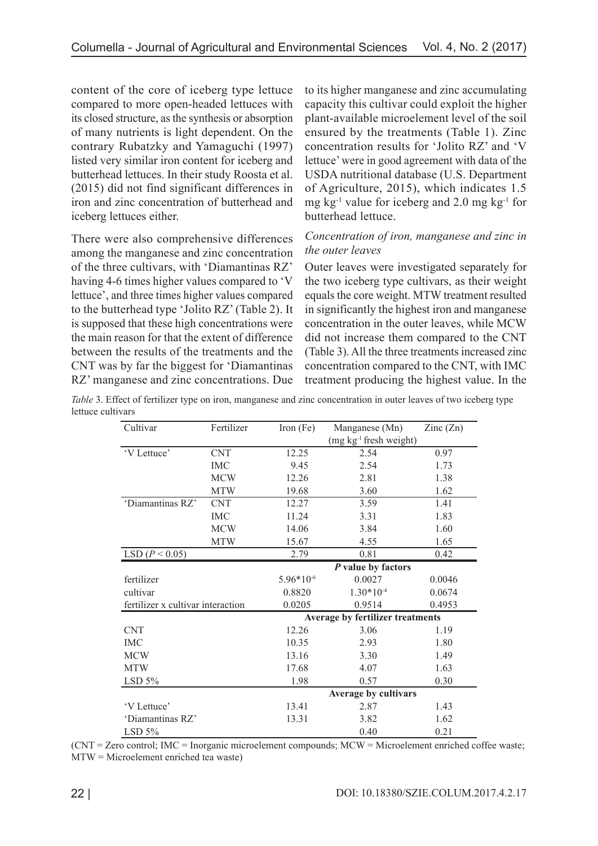content of the core of iceberg type lettuce compared to more open-headed lettuces with its closed structure, as the synthesis or absorption of many nutrients is light dependent. On the contrary Rubatzky and Yamaguchi (1997) listed very similar iron content for iceberg and butterhead lettuces. In their study Roosta et al. (2015) did not find significant differences in iron and zinc concentration of butterhead and iceberg lettuces either.

There were also comprehensive differences among the manganese and zinc concentration of the three cultivars, with 'Diamantinas RZ' having 4-6 times higher values compared to 'V lettuce', and three times higher values compared to the butterhead type 'Jolito RZ' (Table 2). It is supposed that these high concentrations were the main reason for that the extent of difference between the results of the treatments and the CNT was by far the biggest for 'Diamantinas RZ' manganese and zinc concentrations. Due to its higher manganese and zinc accumulating capacity this cultivar could exploit the higher plant-available microelement level of the soil ensured by the treatments (Table 1). Zinc concentration results for 'Jolito RZ' and 'V lettuce' were in good agreement with data of the USDA nutritional database (U.S. Department of Agriculture, 2015), which indicates 1.5 mg kg<sup>-1</sup> value for iceberg and 2.0 mg kg<sup>-1</sup> for butterhead lettuce.

### *Concentration of iron, manganese and zinc in the outer leaves*

Outer leaves were investigated separately for the two iceberg type cultivars, as their weight equals the core weight. MTW treatment resulted in significantly the highest iron and manganese concentration in the outer leaves, while MCW did not increase them compared to the CNT (Table 3). All the three treatments increased zinc concentration compared to the CNT, with IMC treatment producing the highest value. In the

*Table* 3. Effect of fertilizer type on iron, manganese and zinc concentration in outer leaves of two iceberg type lettuce cultivars

| Cultivar           | Fertilizer                                  | Iron $(Fe)$    | Manganese (Mn)                   | $\text{Zinc}(\text{Zn})$ |
|--------------------|---------------------------------------------|----------------|----------------------------------|--------------------------|
|                    |                                             |                | $(mg kg-1$ fresh weight)         |                          |
| 'V Lettuce'        | <b>CNT</b>                                  | 12.25          | 2.54                             | 0.97                     |
|                    | <b>IMC</b>                                  | 9.45           | 2.54                             | 1.73                     |
|                    | <b>MCW</b>                                  | 12.26          | 2.81                             | 1.38                     |
|                    | <b>MTW</b>                                  | 19.68          | 3.60                             | 1.62                     |
| 'Diamantinas RZ'   | <b>CNT</b>                                  | 12.27          | 3.59                             | 1.41                     |
|                    | IMC                                         | 11.24          | 3.31                             | 1.83                     |
|                    | <b>MCW</b>                                  | 14.06          | 3.84                             | 1.60                     |
|                    | <b>MTW</b>                                  | 15.67          | 4.55                             | 1.65                     |
| LSD ( $P < 0.05$ ) |                                             | 2.79           | 0.81                             | 0.42                     |
|                    |                                             |                | $P$ value by factors             |                          |
| fertilizer         |                                             | $5.96*10^{-6}$ | 0.0027                           | 0.0046                   |
| cultivar           |                                             | 0.8820         | $1.30*10^{-4}$                   | 0.0674                   |
|                    | fertilizer x cultivar interaction<br>0.0205 |                | 0.9514                           | 0.4953                   |
|                    |                                             |                | Average by fertilizer treatments |                          |
| <b>CNT</b>         |                                             | 12.26          | 3.06                             | 1.19                     |
| <b>IMC</b>         |                                             | 10.35          | 2.93                             | 1.80                     |
| <b>MCW</b>         |                                             | 13.16          | 3.30                             | 1.49                     |
| <b>MTW</b>         |                                             | 17.68          | 4.07                             | 1.63                     |
| LSD 5%             |                                             | 1.98           | 0.57                             | 0.30                     |
|                    |                                             |                | Average by cultivars             |                          |
| 'V Lettuce'        |                                             | 13.41          | 2.87                             | 1.43                     |
| 'Diamantinas RZ'   |                                             | 13.31          | 3.82                             | 1.62                     |
| LSD 5%             |                                             |                | 0.40                             | 0.21                     |

(CNT = Zero control; IMC = Inorganic microelement compounds; MCW = Microelement enriched coffee waste; MTW = Microelement enriched tea waste)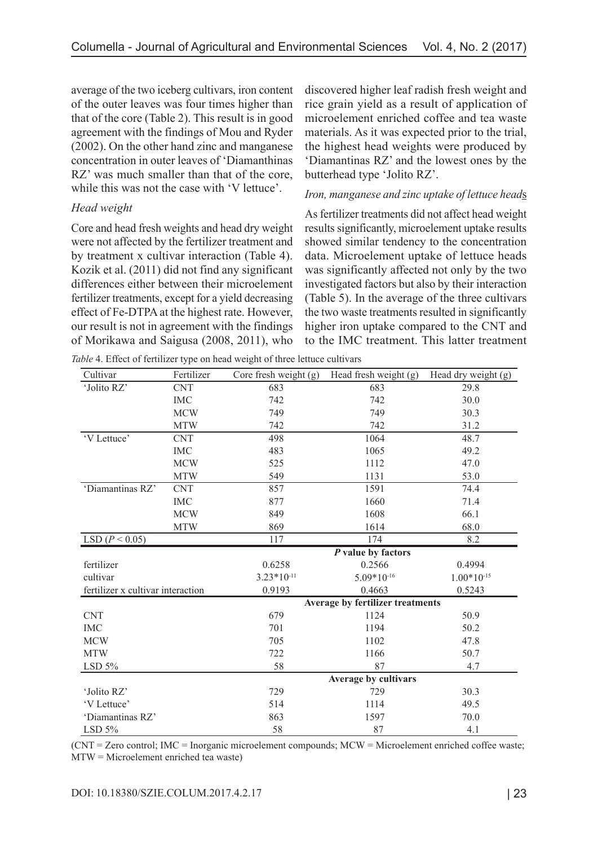average of the two iceberg cultivars, iron content of the outer leaves was four times higher than that of the core (Table 2). This result is in good agreement with the findings of Mou and Ryder (2002). On the other hand zinc and manganese concentration in outer leaves of 'Diamanthinas RZ' was much smaller than that of the core, while this was not the case with 'V lettuce'.

### *Head weight*

Core and head fresh weights and head dry weight were not affected by the fertilizer treatment and by treatment x cultivar interaction (Table 4). Kozik et al. (2011) did not find any significant differences either between their microelement fertilizer treatments, except for a yield decreasing effect of Fe-DTPA at the highest rate. However, our result is not in agreement with the findings of Morikawa and Saigusa (2008, 2011), who discovered higher leaf radish fresh weight and rice grain yield as a result of application of microelement enriched coffee and tea waste materials. As it was expected prior to the trial, the highest head weights were produced by 'Diamantinas RZ' and the lowest ones by the butterhead type 'Jolito RZ'.

### *Iron, manganese and zinc uptake of lettuce head*s

As fertilizer treatments did not affect head weight results significantly, microelement uptake results showed similar tendency to the concentration data. Microelement uptake of lettuce heads was significantly affected not only by the two investigated factors but also by their interaction (Table 5). In the average of the three cultivars the two waste treatments resulted in significantly higher iron uptake compared to the CNT and to the IMC treatment. This latter treatment

| Cultivar                          | Fertilizer | Core fresh weight (g) | Head fresh weight (g)            | Head dry weight (g) |
|-----------------------------------|------------|-----------------------|----------------------------------|---------------------|
| 'Jolito RZ'                       | <b>CNT</b> | 683                   | 683                              | 29.8                |
|                                   | <b>IMC</b> | 742                   | 742                              | 30.0                |
|                                   | <b>MCW</b> | 749                   | 749                              | 30.3                |
|                                   | <b>MTW</b> | 742                   | 742                              | 31.2                |
| 'V Lettuce'                       | <b>CNT</b> | 498                   | 1064                             | 48.7                |
|                                   | <b>IMC</b> | 483                   | 1065                             | 49.2                |
|                                   | <b>MCW</b> | 525                   | 1112                             | 47.0                |
|                                   | <b>MTW</b> | 549                   | 1131                             | 53.0                |
| 'Diamantinas RZ'                  | <b>CNT</b> | 857                   | 1591                             | 74.4                |
|                                   | <b>IMC</b> | 877                   | 1660                             | 71.4                |
|                                   | <b>MCW</b> | 849                   | 1608                             | 66.1                |
|                                   | <b>MTW</b> | 869                   | 1614                             | 68.0                |
| LSD ( $P < 0.05$ )                |            | 117                   | 174                              | 8.2                 |
|                                   |            |                       | P value by factors               |                     |
| fertilizer                        |            | 0.6258                | 0.2566                           | 0.4994              |
| cultivar                          |            | $3.23*10-11$          | $5.09*10^{-16}$                  | $1.00*10^{-15}$     |
| fertilizer x cultivar interaction |            | 0.9193                | 0.4663                           | 0.5243              |
|                                   |            |                       | Average by fertilizer treatments |                     |
| <b>CNT</b>                        |            | 679                   | 1124                             | 50.9                |
| <b>IMC</b>                        |            | 701                   | 1194                             | 50.2                |
| <b>MCW</b>                        |            | 705                   | 1102                             | 47.8                |
| <b>MTW</b>                        |            | 722                   | 1166                             | 50.7                |
| LSD 5%                            |            | 58                    | 87                               | 4.7                 |
|                                   |            |                       | Average by cultivars             |                     |
| 'Jolito RZ'                       |            | 729                   | 729                              | 30.3                |
| 'V Lettuce'                       |            | 514                   | 1114                             | 49.5                |
| 'Diamantinas RZ'                  |            | 863                   | 1597                             | 70.0                |
| LSD $5%$                          |            | 58                    | 87                               | 4.1                 |

*Table* 4. Effect of fertilizer type on head weight of three lettuce cultivars

(CNT = Zero control; IMC = Inorganic microelement compounds; MCW = Microelement enriched coffee waste; MTW = Microelement enriched tea waste)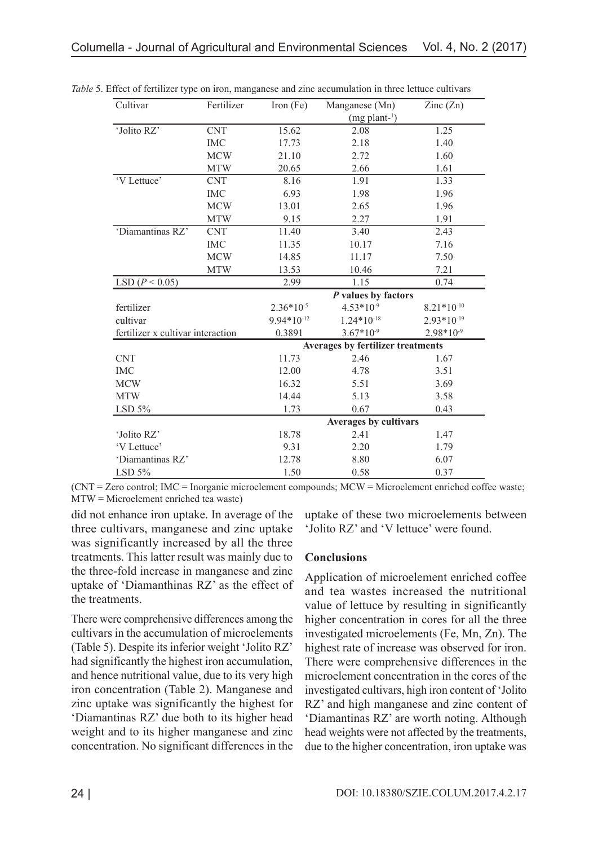| Cultivar                          | Fertilizer | Iron $(Fe)$     | Manganese (Mn)                           | $\text{Zinc}(\text{Zn})$ |
|-----------------------------------|------------|-----------------|------------------------------------------|--------------------------|
|                                   |            |                 | $(mg$ plant- <sup>1</sup> )              |                          |
| 'Jolito RZ'                       | <b>CNT</b> | 15.62           | 2.08                                     | 1.25                     |
|                                   | <b>IMC</b> | 17.73           | 2.18                                     | 1.40                     |
|                                   | <b>MCW</b> | 21.10           | 2.72                                     | 1.60                     |
|                                   | <b>MTW</b> | 20.65           | 2.66                                     | 1.61                     |
| 'V Lettuce'                       | <b>CNT</b> | 8.16            | 1.91                                     | 1.33                     |
|                                   | <b>IMC</b> | 6.93            | 1.98                                     | 1.96                     |
|                                   | <b>MCW</b> | 13.01           | 2.65                                     | 1.96                     |
|                                   | <b>MTW</b> | 9.15            | 2.27                                     | 1.91                     |
| 'Diamantinas RZ'                  | <b>CNT</b> | 11.40           | 3.40                                     | 2.43                     |
|                                   | <b>IMC</b> | 11.35           | 10.17                                    | 7.16                     |
|                                   | <b>MCW</b> | 14.85           | 11.17                                    | 7.50                     |
|                                   | <b>MTW</b> | 13.53           | 10.46                                    | 7.21                     |
| LSD ( $P < 0.05$ )                |            | 2.99            | 1.15                                     | 0.74                     |
|                                   |            |                 |                                          |                          |
|                                   |            |                 | P values by factors                      |                          |
| fertilizer                        |            | $2.36*10^{-5}$  | $4.53*10-9$                              | $8.21*10-10$             |
| cultivar                          |            | $9.94*10^{-12}$ | $1.24*10-18$                             | $2.93*10^{-19}$          |
| fertilizer x cultivar interaction |            | 0.3891          | $3.67*10-9$                              | $2.98*10-9$              |
|                                   |            |                 | <b>Averages by fertilizer treatments</b> |                          |
| <b>CNT</b>                        |            | 11.73           | 2.46                                     | 1.67                     |
| <b>IMC</b>                        |            | 12.00           | 4.78                                     | 3.51                     |
| <b>MCW</b>                        |            | 16.32           | 5.51                                     | 3.69                     |
| <b>MTW</b>                        |            | 14.44           | 5.13                                     | 3.58                     |
| LSD 5%                            |            | 1.73            | 0.67                                     | 0.43                     |
|                                   |            |                 | <b>Averages by cultivars</b>             |                          |
| 'Jolito RZ'                       |            | 18.78           | 2.41                                     | 1.47                     |
| 'V Lettuce'                       |            | 9.31            | 2.20                                     | 1.79                     |
| 'Diamantinas RZ'                  |            | 12.78           | 8.80                                     | 6.07                     |

*Table* 5. Effect of fertilizer type on iron, manganese and zinc accumulation in three lettuce cultivars

(CNT = Zero control; IMC = Inorganic microelement compounds; MCW = Microelement enriched coffee waste; MTW = Microelement enriched tea waste)

did not enhance iron uptake. In average of the three cultivars, manganese and zinc uptake was significantly increased by all the three treatments. This latter result was mainly due to the three-fold increase in manganese and zinc uptake of 'Diamanthinas RZ' as the effect of the treatments.

There were comprehensive differences among the cultivars in the accumulation of microelements (Table 5). Despite its inferior weight 'Jolito RZ' had significantly the highest iron accumulation, and hence nutritional value, due to its very high iron concentration (Table 2). Manganese and zinc uptake was significantly the highest for 'Diamantinas RZ' due both to its higher head weight and to its higher manganese and zinc concentration. No significant differences in the uptake of these two microelements between 'Jolito RZ' and 'V lettuce' were found.

#### **Conclusions**

Application of microelement enriched coffee and tea wastes increased the nutritional value of lettuce by resulting in significantly higher concentration in cores for all the three investigated microelements (Fe, Mn, Zn). The highest rate of increase was observed for iron. There were comprehensive differences in the microelement concentration in the cores of the investigated cultivars, high iron content of 'Jolito RZ' and high manganese and zinc content of 'Diamantinas RZ' are worth noting. Although head weights were not affected by the treatments, due to the higher concentration, iron uptake was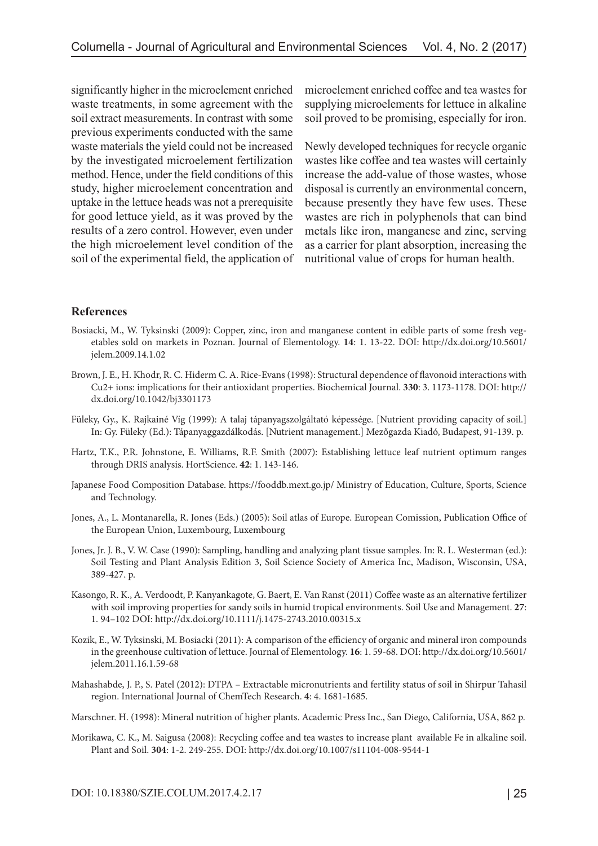significantly higher in the microelement enriched waste treatments, in some agreement with the soil extract measurements. In contrast with some previous experiments conducted with the same waste materials the yield could not be increased by the investigated microelement fertilization method. Hence, under the field conditions of this study, higher microelement concentration and uptake in the lettuce heads was not a prerequisite for good lettuce yield, as it was proved by the results of a zero control. However, even under the high microelement level condition of the soil of the experimental field, the application of microelement enriched coffee and tea wastes for supplying microelements for lettuce in alkaline soil proved to be promising, especially for iron.

Newly developed techniques for recycle organic wastes like coffee and tea wastes will certainly increase the add-value of those wastes, whose disposal is currently an environmental concern, because presently they have few uses. These wastes are rich in polyphenols that can bind metals like iron, manganese and zinc, serving as a carrier for plant absorption, increasing the nutritional value of crops for human health.

#### **References**

- Bosiacki, M., W. Tyksinski (2009): Copper, zinc, iron and manganese content in edible parts of some fresh vegetables sold on markets in Poznan. Journal of Elementology. **14**: 1. 13-22. DOI: http://dx.doi.org/10.5601/ jelem.2009.14.1.02
- Brown, J. E., H. Khodr, R. C. Hiderm C. A. Rice-Evans (1998): Structural dependence of flavonoid interactions with Cu2+ ions: implications for their antioxidant properties. Biochemical Journal. **330**: 3. 1173-1178. DOI: http:// dx.doi.org/10.1042/bj3301173
- Füleky, Gy., K. Rajkainé Víg (1999): A talaj tápanyagszolgáltató képessége. [Nutrient providing capacity of soil.] In: Gy. Füleky (Ed.): Tápanyaggazdálkodás. [Nutrient management.] Mezőgazda Kiadó, Budapest, 91-139. p.
- Hartz, T.K., P.R. Johnstone, E. Williams, R.F. Smith (2007): Establishing lettuce leaf nutrient optimum ranges through DRIS analysis. HortScience. **42**: 1. 143-146.
- Japanese Food Composition Database. https://fooddb.mext.go.jp/ Ministry of Education, Culture, Sports, Science and Technology.
- Jones, A., L. Montanarella, R. Jones (Eds.) (2005): Soil atlas of Europe. European Comission, Publication Office of the European Union, Luxembourg, Luxembourg
- Jones, Jr. J. B., V. W. Case (1990): Sampling, handling and analyzing plant tissue samples. In: R. L. Westerman (ed.): Soil Testing and Plant Analysis Edition 3, Soil Science Society of America Inc, Madison, Wisconsin, USA, 389-427. p.
- Kasongo, R. K., A. Verdoodt, P. Kanyankagote, G. Baert, E. Van Ranst (2011) Coffee waste as an alternative fertilizer with soil improving properties for sandy soils in humid tropical environments. Soil Use and Management. **27**: 1. 94–102 DOI: http://dx.doi.org/10.1111/j.1475-2743.2010.00315.x
- Kozik, E., W. Tyksinski, M. Bosiacki (2011): A comparison of the efficiency of organic and mineral iron compounds in the greenhouse cultivation of lettuce. Journal of Elementology. **16**: 1. 59-68. DOI: http://dx.doi.org/10.5601/ jelem.2011.16.1.59-68
- Mahashabde, J. P., S. Patel (2012): DTPA Extractable micronutrients and fertility status of soil in Shirpur Tahasil region. International Journal of ChemTech Research. **4**: 4. 1681-1685.
- Marschner. H. (1998): Mineral nutrition of higher plants. Academic Press Inc., San Diego, California, USA, 862 p.
- Morikawa, C. K., M. Saigusa (2008): Recycling coffee and tea wastes to increase plant available Fe in alkaline soil. Plant and Soil. **304**: 1-2. 249-255. DOI: http://dx.doi.org/10.1007/s11104-008-9544-1